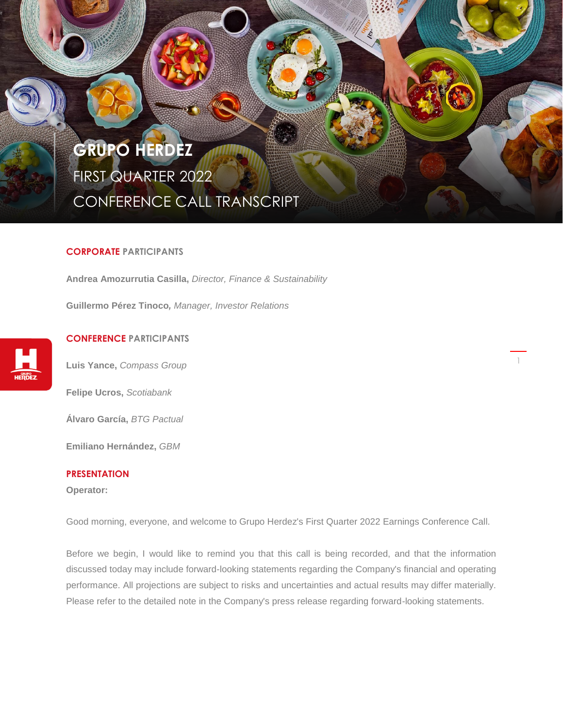# **GRUPO HERDEZ** FIRST QUARTER 2022 CONFERENCE CALL TRANSCRIPT

# **CORPORATE PARTICIPANTS**

. . . . . .

**Andrea Amozurrutia Casilla,** *Director, Finance & Sustainability*

**Guillermo Pérez Tinoco***, Manager, Investor Relations*



# **CONFERENCE PARTICIPANTS**

**Luis Yance,** *Compass Group*

**Felipe Ucros,** *Scotiabank*

**Álvaro García,** *BTG Pactual*

**Emiliano Hernández,** *GBM*

# **PRESENTATION**

**Operator:**

Good morning, everyone, and welcome to Grupo Herdez's First Quarter 2022 Earnings Conference Call.

1

Before we begin, I would like to remind you that this call is being recorded, and that the information discussed today may include forward-looking statements regarding the Company's financial and operating performance. All projections are subject to risks and uncertainties and actual results may differ materially. Please refer to the detailed note in the Company's press release regarding forward-looking statements.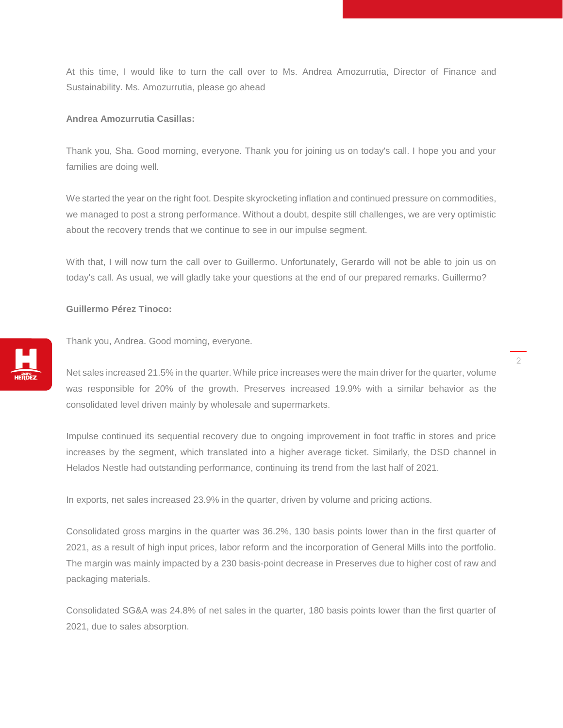At this time, I would like to turn the call over to Ms. Andrea Amozurrutia, Director of Finance and Sustainability. Ms. Amozurrutia, please go ahead

## **Andrea Amozurrutia Casillas:**

Thank you, Sha. Good morning, everyone. Thank you for joining us on today's call. I hope you and your families are doing well.

We started the year on the right foot. Despite skyrocketing inflation and continued pressure on commodities, we managed to post a strong performance. Without a doubt, despite still challenges, we are very optimistic about the recovery trends that we continue to see in our impulse segment.

With that, I will now turn the call over to Guillermo. Unfortunately, Gerardo will not be able to join us on today's call. As usual, we will gladly take your questions at the end of our prepared remarks. Guillermo?

# **Guillermo Pérez Tinoco:**



Thank you, Andrea. Good morning, everyone.

Net sales increased 21.5% in the quarter. While price increases were the main driver for the quarter, volume was responsible for 20% of the growth. Preserves increased 19.9% with a similar behavior as the consolidated level driven mainly by wholesale and supermarkets.

Impulse continued its sequential recovery due to ongoing improvement in foot traffic in stores and price increases by the segment, which translated into a higher average ticket. Similarly, the DSD channel in Helados Nestle had outstanding performance, continuing its trend from the last half of 2021.

In exports, net sales increased 23.9% in the quarter, driven by volume and pricing actions.

Consolidated gross margins in the quarter was 36.2%, 130 basis points lower than in the first quarter of 2021, as a result of high input prices, labor reform and the incorporation of General Mills into the portfolio. The margin was mainly impacted by a 230 basis-point decrease in Preserves due to higher cost of raw and packaging materials.

Consolidated SG&A was 24.8% of net sales in the quarter, 180 basis points lower than the first quarter of 2021, due to sales absorption.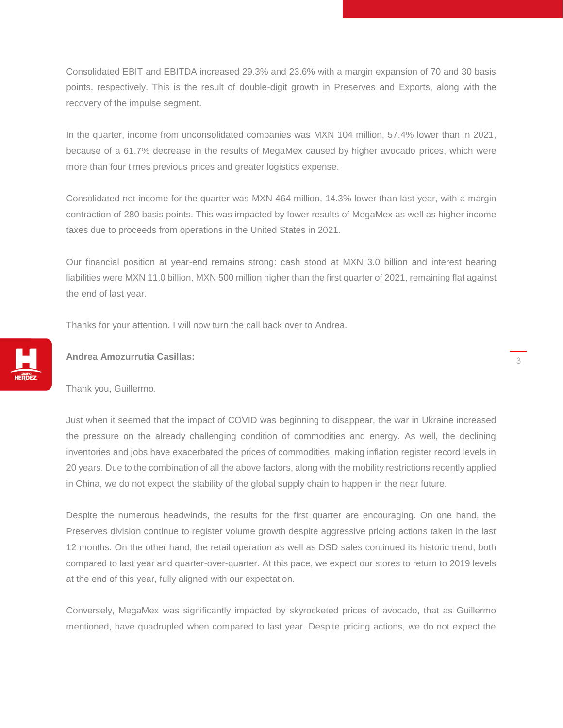Consolidated EBIT and EBITDA increased 29.3% and 23.6% with a margin expansion of 70 and 30 basis points, respectively. This is the result of double-digit growth in Preserves and Exports, along with the recovery of the impulse segment.

In the quarter, income from unconsolidated companies was MXN 104 million, 57.4% lower than in 2021, because of a 61.7% decrease in the results of MegaMex caused by higher avocado prices, which were more than four times previous prices and greater logistics expense.

Consolidated net income for the quarter was MXN 464 million, 14.3% lower than last year, with a margin contraction of 280 basis points. This was impacted by lower results of MegaMex as well as higher income taxes due to proceeds from operations in the United States in 2021.

Our financial position at year-end remains strong: cash stood at MXN 3.0 billion and interest bearing liabilities were MXN 11.0 billion, MXN 500 million higher than the first quarter of 2021, remaining flat against the end of last year.

Thanks for your attention. I will now turn the call back over to Andrea.



#### **Andrea Amozurrutia Casillas:**

Thank you, Guillermo.

Just when it seemed that the impact of COVID was beginning to disappear, the war in Ukraine increased the pressure on the already challenging condition of commodities and energy. As well, the declining inventories and jobs have exacerbated the prices of commodities, making inflation register record levels in 20 years. Due to the combination of all the above factors, along with the mobility restrictions recently applied in China, we do not expect the stability of the global supply chain to happen in the near future.

Despite the numerous headwinds, the results for the first quarter are encouraging. On one hand, the Preserves division continue to register volume growth despite aggressive pricing actions taken in the last 12 months. On the other hand, the retail operation as well as DSD sales continued its historic trend, both compared to last year and quarter-over-quarter. At this pace, we expect our stores to return to 2019 levels at the end of this year, fully aligned with our expectation.

Conversely, MegaMex was significantly impacted by skyrocketed prices of avocado, that as Guillermo mentioned, have quadrupled when compared to last year. Despite pricing actions, we do not expect the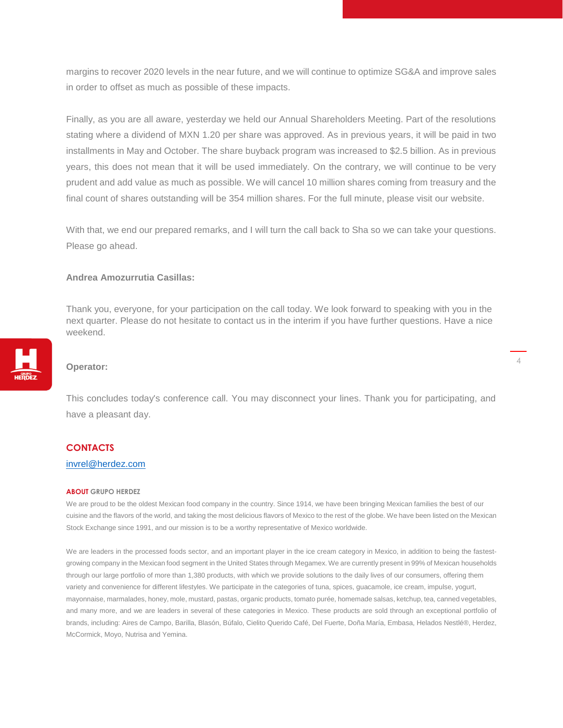margins to recover 2020 levels in the near future, and we will continue to optimize SG&A and improve sales in order to offset as much as possible of these impacts.

Finally, as you are all aware, yesterday we held our Annual Shareholders Meeting. Part of the resolutions stating where a dividend of MXN 1.20 per share was approved. As in previous years, it will be paid in two installments in May and October. The share buyback program was increased to \$2.5 billion. As in previous years, this does not mean that it will be used immediately. On the contrary, we will continue to be very prudent and add value as much as possible. We will cancel 10 million shares coming from treasury and the final count of shares outstanding will be 354 million shares. For the full minute, please visit our website.

With that, we end our prepared remarks, and I will turn the call back to Sha so we can take your questions. Please go ahead.

### **Andrea Amozurrutia Casillas:**

Thank you, everyone, for your participation on the call today. We look forward to speaking with you in the next quarter. Please do not hesitate to contact us in the interim if you have further questions. Have a nice weekend.

# **Operator:**

This concludes today's conference call. You may disconnect your lines. Thank you for participating, and have a pleasant day.

#### **CONTACTS**

## [invrel@herdez.com](mailto:invrel@herdez.com)

#### **ABOUT GRUPO HERDEZ**

We are proud to be the oldest Mexican food company in the country. Since 1914, we have been bringing Mexican families the best of our cuisine and the flavors of the world, and taking the most delicious flavors of Mexico to the rest of the globe. We have been listed on the Mexican Stock Exchange since 1991, and our mission is to be a worthy representative of Mexico worldwide.

We are leaders in the processed foods sector, and an important player in the ice cream category in Mexico, in addition to being the fastestgrowing company in the Mexican food segment in the United States through Megamex. We are currently present in 99% of Mexican households through our large portfolio of more than 1,380 products, with which we provide solutions to the daily lives of our consumers, offering them variety and convenience for different lifestyles. We participate in the categories of tuna, spices, guacamole, ice cream, impulse, yogurt, mayonnaise, marmalades, honey, mole, mustard, pastas, organic products, tomato purée, homemade salsas, ketchup, tea, canned vegetables, and many more, and we are leaders in several of these categories in Mexico. These products are sold through an exceptional portfolio of brands, including: Aires de Campo, Barilla, Blasón, Búfalo, Cielito Querido Café, Del Fuerte, Doña María, Embasa, Helados Nestlé®, Herdez, McCormick, Moyo, Nutrisa and Yemina.